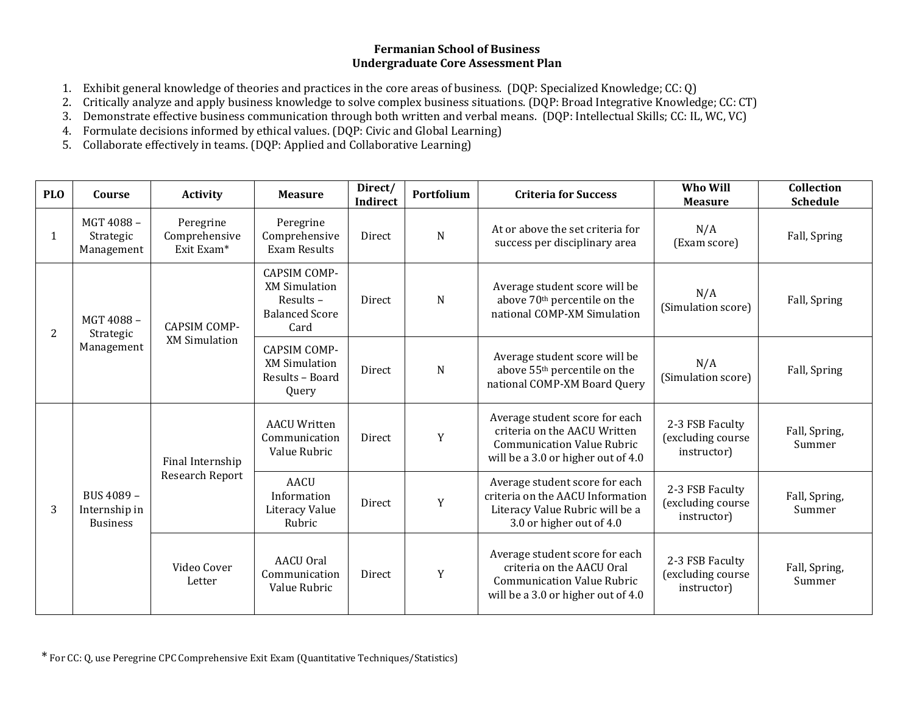# **Fermanian School of Business Undergraduate Core Assessment Plan**

- 1. Exhibit general knowledge of theories and practices in the core areas of business. (DQP: Specialized Knowledge; CC: Q)
- 2. Critically analyze and apply business knowledge to solve complex business situations. (DQP: Broad Integrative Knowledge; CC: CT)
- 3. Demonstrate effective business communication through both written and verbal means. (DQP: Intellectual Skills; CC: IL, WC, VC)
- 4. Formulate decisions informed by ethical values. (DQP: Civic and Global Learning)
- 5. Collaborate effectively in teams. (DQP: Applied and Collaborative Learning)

| <b>PLO</b> | Course                                         | <b>Activity</b>                             | <b>Measure</b>                                                                              | Direct/<br>Indirect | Portfolium | <b>Criteria for Success</b>                                                                                                               | Who Will<br><b>Measure</b>                          | Collection<br><b>Schedule</b> |
|------------|------------------------------------------------|---------------------------------------------|---------------------------------------------------------------------------------------------|---------------------|------------|-------------------------------------------------------------------------------------------------------------------------------------------|-----------------------------------------------------|-------------------------------|
|            | MGT 4088-<br>Strategic<br>Management           | Peregrine<br>Comprehensive<br>Exit Exam*    | Peregrine<br>Comprehensive<br><b>Exam Results</b>                                           | Direct              | ${\bf N}$  | At or above the set criteria for<br>success per disciplinary area                                                                         | N/A<br>(Exam score)                                 | Fall, Spring                  |
| 2          | MGT 4088-<br>Strategic<br>Management           | <b>CAPSIM COMP-</b><br><b>XM</b> Simulation | <b>CAPSIM COMP-</b><br><b>XM Simulation</b><br>Results $-$<br><b>Balanced Score</b><br>Card | <b>Direct</b>       | N          | Average student score will be<br>above 70 <sup>th</sup> percentile on the<br>national COMP-XM Simulation                                  | N/A<br>(Simulation score)                           | Fall, Spring                  |
|            |                                                |                                             | <b>CAPSIM COMP-</b><br><b>XM</b> Simulation<br>Results - Board<br>Query                     | Direct              | N          | Average student score will be<br>above 55 <sup>th</sup> percentile on the<br>national COMP-XM Board Query                                 | N/A<br>(Simulation score)                           | Fall, Spring                  |
|            | BUS 4089 -<br>Internship in<br><b>Business</b> | Final Internship<br><b>Research Report</b>  | <b>AACU Written</b><br>Communication<br>Value Rubric                                        | Direct              | Y          | Average student score for each<br>criteria on the AACU Written<br><b>Communication Value Rubric</b><br>will be a 3.0 or higher out of 4.0 | 2-3 FSB Faculty<br>(excluding course<br>instructor) | Fall, Spring,<br>Summer       |
| 3          |                                                |                                             | <b>AACU</b><br>Information<br>Literacy Value<br>Rubric                                      | Direct              | Y          | Average student score for each<br>criteria on the AACU Information<br>Literacy Value Rubric will be a<br>3.0 or higher out of 4.0         | 2-3 FSB Faculty<br>(excluding course<br>instructor) | Fall, Spring,<br>Summer       |
|            |                                                | Video Cover<br>Letter                       | AACU Oral<br>Communication<br>Value Rubric                                                  | Direct              | Y          | Average student score for each<br>criteria on the AACU Oral<br><b>Communication Value Rubric</b><br>will be a 3.0 or higher out of 4.0    | 2-3 FSB Faculty<br>(excluding course<br>instructor) | Fall, Spring,<br>Summer       |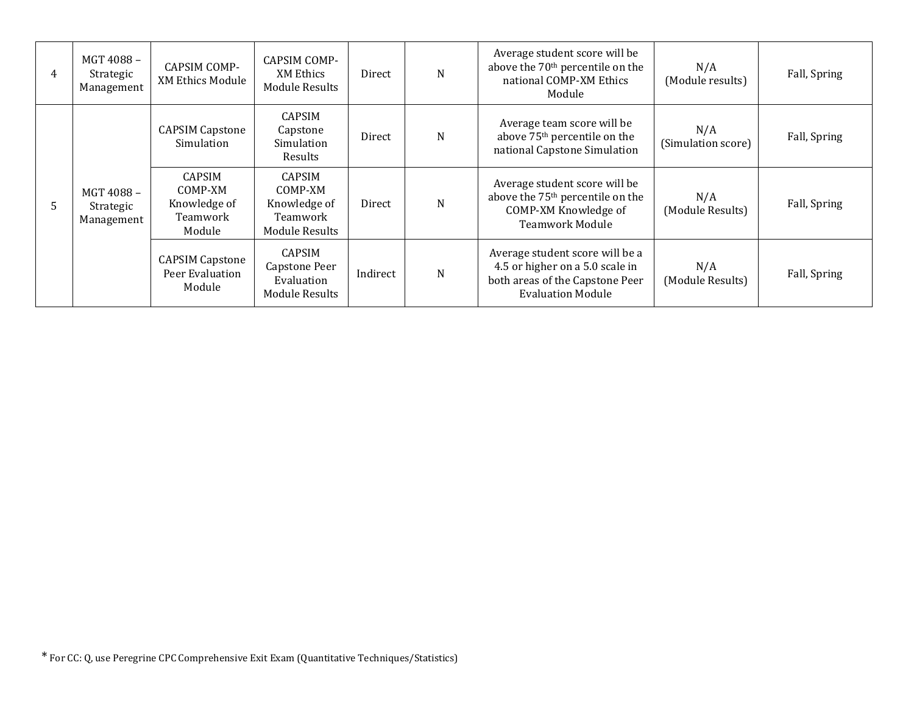| 4 | MGT 4088 -<br>Strategic<br>Management | <b>CAPSIM COMP-</b><br><b>XM Ethics Module</b>                 | CAPSIM COMP-<br>XM Ethics<br>Module Results                                   | Direct   | N | Average student score will be<br>above the 70 <sup>th</sup> percentile on the<br>national COMP-XM Ethics<br>Module                | N/A<br>(Module results)   | Fall, Spring |
|---|---------------------------------------|----------------------------------------------------------------|-------------------------------------------------------------------------------|----------|---|-----------------------------------------------------------------------------------------------------------------------------------|---------------------------|--------------|
|   | MGT 4088 -<br>Strategic<br>Management | <b>CAPSIM Capstone</b><br>Simulation                           | CAPSIM<br>Capstone<br>Simulation<br>Results                                   | Direct   | N | Average team score will be<br>above 75 <sup>th</sup> percentile on the<br>national Capstone Simulation                            | N/A<br>(Simulation score) | Fall, Spring |
|   |                                       | <b>CAPSIM</b><br>COMP-XM<br>Knowledge of<br>Teamwork<br>Module | <b>CAPSIM</b><br>COMP-XM<br>Knowledge of<br>Teamwork<br><b>Module Results</b> | Direct   | N | Average student score will be<br>above the 75 <sup>th</sup> percentile on the<br>COMP-XM Knowledge of<br><b>Teamwork Module</b>   | N/A<br>(Module Results)   | Fall, Spring |
|   |                                       | <b>CAPSIM Capstone</b><br>Peer Evaluation<br>Module            | <b>CAPSIM</b><br>Capstone Peer<br>Evaluation<br>Module Results                | Indirect | N | Average student score will be a<br>4.5 or higher on a 5.0 scale in<br>both areas of the Capstone Peer<br><b>Evaluation Module</b> | N/A<br>(Module Results)   | Fall, Spring |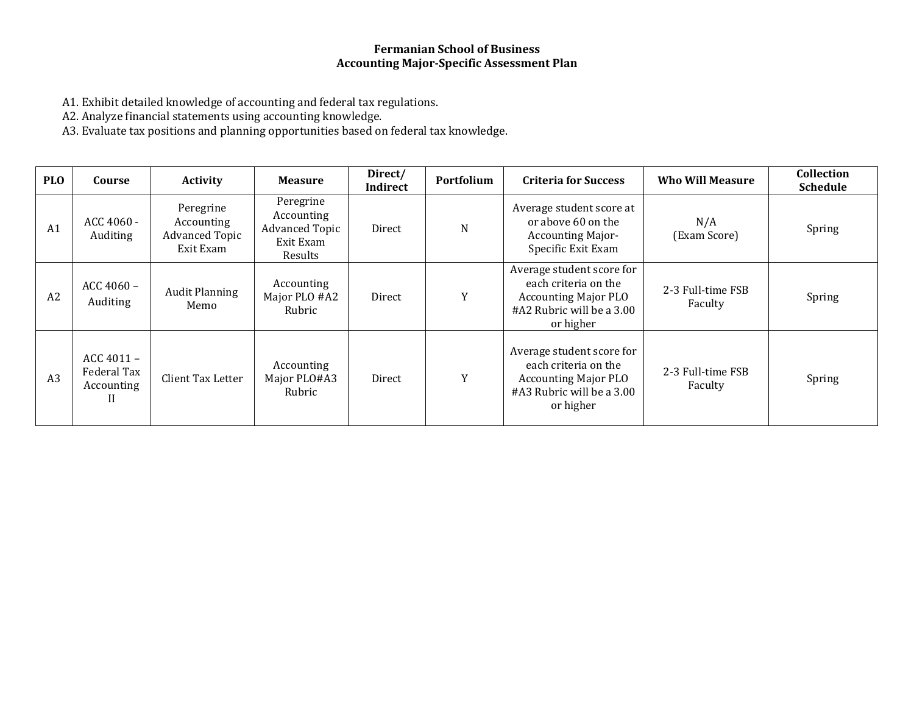# **Fermanian School of Business Accounting Major-Specific Assessment Plan**

A1. Exhibit detailed knowledge of accounting and federal tax regulations.

A2. Analyze financial statements using accounting knowledge.

A3. Evaluate tax positions and planning opportunities based on federal tax knowledge.

| <b>PLO</b> | Course                                         | <b>Activity</b>                                               | <b>Measure</b>                                                           | Direct/<br>Indirect | Portfolium | <b>Criteria for Success</b>                                                                                                | <b>Who Will Measure</b>      | <b>Collection</b><br>Schedule |
|------------|------------------------------------------------|---------------------------------------------------------------|--------------------------------------------------------------------------|---------------------|------------|----------------------------------------------------------------------------------------------------------------------------|------------------------------|-------------------------------|
| A1         | ACC 4060 -<br>Auditing                         | Peregrine<br>Accounting<br><b>Advanced Topic</b><br>Exit Exam | Peregrine<br>Accounting<br><b>Advanced Topic</b><br>Exit Exam<br>Results | Direct              | N          | Average student score at<br>or above 60 on the<br><b>Accounting Major-</b><br>Specific Exit Exam                           | N/A<br>(Exam Score)          | Spring                        |
| A2         | $ACC 4060 -$<br>Auditing                       | <b>Audit Planning</b><br>Memo                                 | Accounting<br>Major PLO #A2<br>Rubric                                    | Direct              | Y          | Average student score for<br>each criteria on the<br><b>Accounting Major PLO</b><br>#A2 Rubric will be a 3.00<br>or higher | 2-3 Full-time FSB<br>Faculty | Spring                        |
| A3         | $ACC 4011 -$<br>Federal Tax<br>Accounting<br>Ш | Client Tax Letter                                             | Accounting<br>Major PLO#A3<br>Rubric                                     | Direct              | Y          | Average student score for<br>each criteria on the<br><b>Accounting Major PLO</b><br>#A3 Rubric will be a 3.00<br>or higher | 2-3 Full-time FSB<br>Faculty | Spring                        |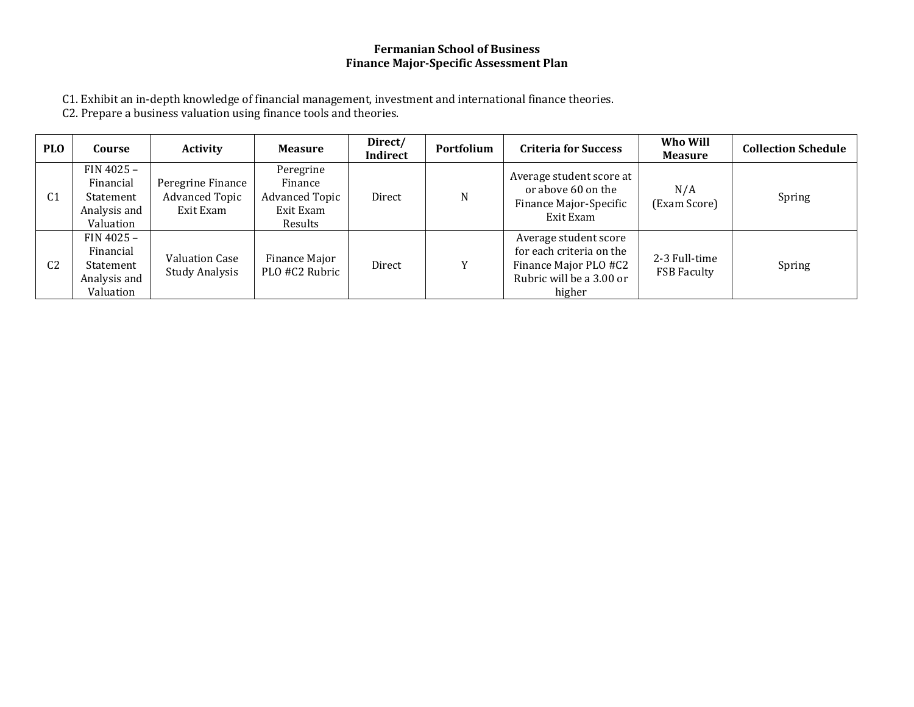## **Fermanian School of Business Finance Major-Specific Assessment Plan**

C1. Exhibit an in-depth knowledge of financial management, investment and international finance theories.

C2. Prepare a business valuation using finance tools and theories.

| <b>PLO</b>     | Course                                                              | Activity                                                | <b>Measure</b>                                                        | Direct/<br>Indirect | Portfolium   | <b>Criteria for Success</b>                                                                                      | Who Will<br><b>Measure</b>          | <b>Collection Schedule</b> |
|----------------|---------------------------------------------------------------------|---------------------------------------------------------|-----------------------------------------------------------------------|---------------------|--------------|------------------------------------------------------------------------------------------------------------------|-------------------------------------|----------------------------|
| C <sub>1</sub> | FIN 4025 -<br>Financial<br>Statement<br>Analysis and<br>Valuation   | Peregrine Finance<br><b>Advanced Topic</b><br>Exit Exam | Peregrine<br>Finance<br><b>Advanced Topic</b><br>Exit Exam<br>Results | Direct              |              | Average student score at<br>or above 60 on the<br>Finance Major-Specific<br>Exit Exam                            | N/A<br>(Exam Score)                 | Spring                     |
| C <sub>2</sub> | $FIN 4025 -$<br>Financial<br>Statement<br>Analysis and<br>Valuation | Valuation Case<br><b>Study Analysis</b>                 | Finance Major<br>PLO #C2 Rubric                                       | Direct              | $\mathbf{v}$ | Average student score<br>for each criteria on the<br>Finance Major PLO #C2<br>Rubric will be a 3.00 or<br>higher | 2-3 Full-time<br><b>FSB Faculty</b> | Spring                     |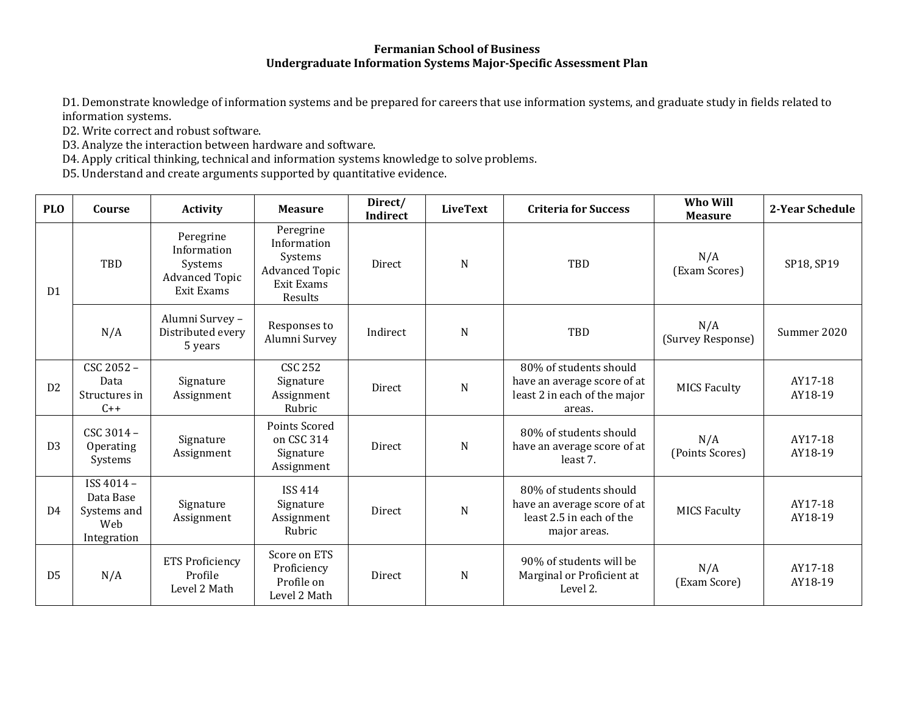#### **Fermanian School of Business Undergraduate Information Systems Major-Specific Assessment Plan**

D1. Demonstrate knowledge of information systems and be prepared for careers that use information systems, and graduate study in fields related to information systems.

D2. Write correct and robust software.

D3. Analyze the interaction between hardware and software.

D4. Apply critical thinking, technical and information systems knowledge to solve problems.

D5. Understand and create arguments supported by quantitative evidence.

| <b>PLO</b>     | Course                                                       | <b>Activity</b>                                                            | <b>Measure</b>                                                                        | Direct/<br>Indirect | <b>LiveText</b> | <b>Criteria for Success</b>                                                                       | Who Will<br><b>Measure</b> | 2-Year Schedule    |
|----------------|--------------------------------------------------------------|----------------------------------------------------------------------------|---------------------------------------------------------------------------------------|---------------------|-----------------|---------------------------------------------------------------------------------------------------|----------------------------|--------------------|
| D <sub>1</sub> | <b>TBD</b>                                                   | Peregrine<br>Information<br>Systems<br><b>Advanced Topic</b><br>Exit Exams | Peregrine<br>Information<br>Systems<br><b>Advanced Topic</b><br>Exit Exams<br>Results | <b>Direct</b>       | N               | TBD                                                                                               | N/A<br>(Exam Scores)       | SP18, SP19         |
|                | N/A                                                          | Alumni Survey -<br>Distributed every<br>5 years                            | Responses to<br>Alumni Survey                                                         | Indirect            | N               | <b>TBD</b>                                                                                        | N/A<br>(Survey Response)   | Summer 2020        |
| D <sub>2</sub> | CSC 2052 -<br>Data<br>Structures in<br>$C++$                 | Signature<br>Assignment                                                    | <b>CSC 252</b><br>Signature<br>Assignment<br>Rubric                                   | <b>Direct</b>       | N               | 80% of students should<br>have an average score of at<br>least 2 in each of the major<br>areas.   | <b>MICS Faculty</b>        | AY17-18<br>AY18-19 |
| D <sub>3</sub> | CSC $3014 -$<br>Operating<br>Systems                         | Signature<br>Assignment                                                    | Points Scored<br>on CSC 314<br>Signature<br>Assignment                                | Direct              | $\mathbf N$     | 80% of students should<br>have an average score of at<br>least 7.                                 | N/A<br>(Points Scores)     | AY17-18<br>AY18-19 |
| D <sub>4</sub> | ISS 4014 -<br>Data Base<br>Systems and<br>Web<br>Integration | Signature<br>Assignment                                                    | <b>ISS 414</b><br>Signature<br>Assignment<br>Rubric                                   | <b>Direct</b>       | N               | 80% of students should<br>have an average score of at<br>least 2.5 in each of the<br>major areas. | <b>MICS Faculty</b>        | AY17-18<br>AY18-19 |
| D <sub>5</sub> | N/A                                                          | <b>ETS Proficiency</b><br>Profile<br>Level 2 Math                          | Score on ETS<br>Proficiency<br>Profile on<br>Level 2 Math                             | <b>Direct</b>       | $\mathbf N$     | 90% of students will be<br>Marginal or Proficient at<br>Level 2.                                  | N/A<br>(Exam Score)        | AY17-18<br>AY18-19 |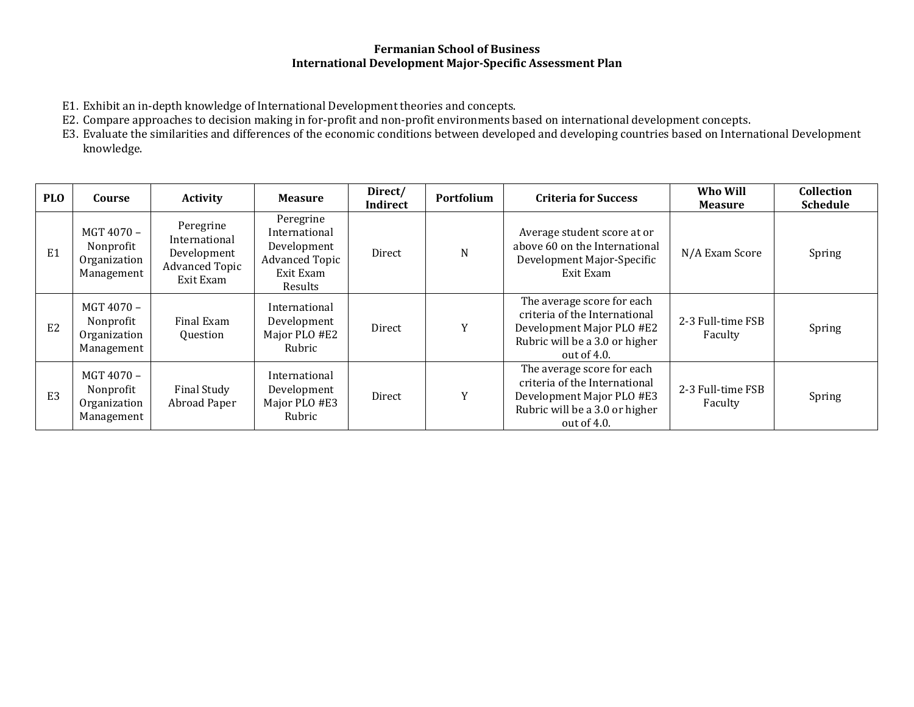#### **Fermanian School of Business International Development Major-Specific Assessment Plan**

- E1. Exhibit an in-depth knowledge of International Development theories and concepts.
- E2. Compare approaches to decision making in for-profit and non-profit environments based on international development concepts.
- E3. Evaluate the similarities and differences of the economic conditions between developed and developing countries based on International Development knowledge.

| <b>PLO</b>     | Course                                                | <b>Activity</b>                                                                 | <b>Measure</b>                                                                                    | Direct/<br>Indirect | Portfolium | <b>Criteria for Success</b>                                                                                                                  | Who Will<br><b>Measure</b>   | <b>Collection</b><br><b>Schedule</b> |
|----------------|-------------------------------------------------------|---------------------------------------------------------------------------------|---------------------------------------------------------------------------------------------------|---------------------|------------|----------------------------------------------------------------------------------------------------------------------------------------------|------------------------------|--------------------------------------|
| E <sub>1</sub> | MGT 4070 -<br>Nonprofit<br>Organization<br>Management | Peregrine<br>International<br>Development<br><b>Advanced Topic</b><br>Exit Exam | Peregrine<br>International<br>Development<br><b>Advanced Topic</b><br>Exit Exam<br><b>Results</b> | Direct              | N          | Average student score at or<br>above 60 on the International<br>Development Major-Specific<br>Exit Exam                                      | N/A Exam Score               | Spring                               |
| E2             | MGT 4070 -<br>Nonprofit<br>Organization<br>Management | Final Exam<br><b>Ouestion</b>                                                   | International<br>Development<br>Major PLO #E2<br>Rubric                                           | Direct              |            | The average score for each<br>criteria of the International<br>Development Major PLO #E2<br>Rubric will be a 3.0 or higher<br>out of $4.0$ . | 2-3 Full-time FSB<br>Faculty | Spring                               |
| E <sub>3</sub> | MGT 4070 –<br>Nonprofit<br>Organization<br>Management | Final Study<br>Abroad Paper                                                     | International<br>Development<br>Major PLO #E3<br>Rubric                                           | Direct              | Y          | The average score for each<br>criteria of the International<br>Development Major PLO #E3<br>Rubric will be a 3.0 or higher<br>out of $4.0$ . | 2-3 Full-time FSB<br>Faculty | Spring                               |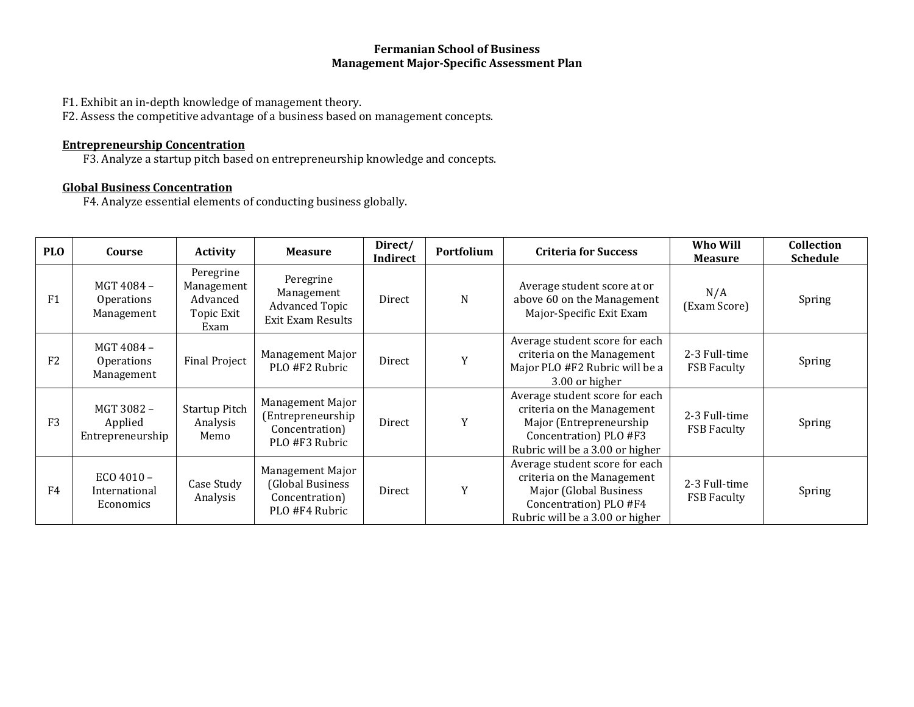# **Fermanian School of Business Management Major-Specific Assessment Plan**

- F1. Exhibit an in-depth knowledge of management theory.
- F2. Assess the competitive advantage of a business based on management concepts.

### **Entrepreneurship Concentration**

F3. Analyze a startup pitch based on entrepreneurship knowledge and concepts.

## **Global Business Concentration**

F4. Analyze essential elements of conducting business globally.

| <b>PLO</b>     | Course                                        | <b>Activity</b>                                           | <b>Measure</b>                                                             | Direct/<br>Indirect | <b>Portfolium</b> | <b>Criteria for Success</b>                                                                                                                          | Who Will<br><b>Measure</b>          | <b>Collection</b><br><b>Schedule</b> |
|----------------|-----------------------------------------------|-----------------------------------------------------------|----------------------------------------------------------------------------|---------------------|-------------------|------------------------------------------------------------------------------------------------------------------------------------------------------|-------------------------------------|--------------------------------------|
| F1             | MGT 4084 -<br><b>Operations</b><br>Management | Peregrine<br>Management<br>Advanced<br>Topic Exit<br>Exam | Peregrine<br>Management<br><b>Advanced Topic</b><br>Exit Exam Results      | Direct              | N                 | Average student score at or<br>above 60 on the Management<br>Major-Specific Exit Exam                                                                | N/A<br>(Exam Score)                 | Spring                               |
| F <sub>2</sub> | MGT 4084 -<br><b>Operations</b><br>Management | <b>Final Project</b>                                      | Management Major<br>PLO #F2 Rubric                                         | Direct              | Y                 | Average student score for each<br>criteria on the Management<br>Major PLO #F2 Rubric will be a<br>3.00 or higher                                     | 2-3 Full-time<br><b>FSB Faculty</b> | Spring                               |
| F <sub>3</sub> | MGT 3082 -<br>Applied<br>Entrepreneurship     | <b>Startup Pitch</b><br>Analysis<br>Memo                  | Management Major<br>(Entrepreneurship)<br>Concentration)<br>PLO #F3 Rubric | Direct              | Y                 | Average student score for each<br>criteria on the Management<br>Major (Entrepreneurship<br>Concentration) PLO #F3<br>Rubric will be a 3.00 or higher | 2-3 Full-time<br><b>FSB Faculty</b> | Spring                               |
| F4             | $ECO$ 4010 –<br>International<br>Economics    | Case Study<br>Analysis                                    | Management Major<br>(Global Business<br>Concentration)<br>PLO #F4 Rubric   | Direct              | Y                 | Average student score for each<br>criteria on the Management<br>Major (Global Business<br>Concentration) PLO #F4<br>Rubric will be a 3.00 or higher  | 2-3 Full-time<br><b>FSB Faculty</b> | Spring                               |